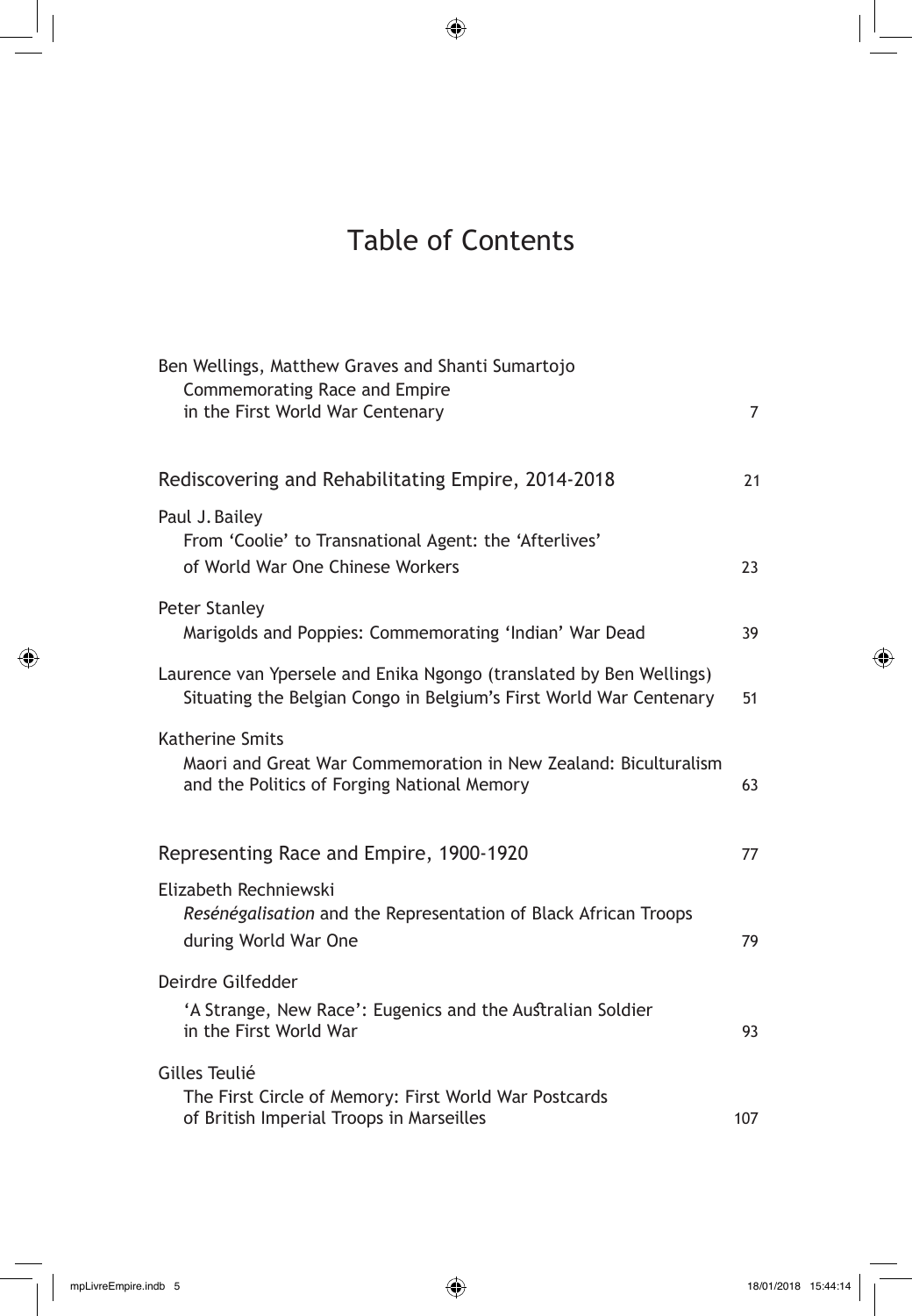## Table of Contents

| Ben Wellings, Matthew Graves and Shanti Sumartojo<br>Commemorating Race and Empire<br>in the First World War Centenary                    | 7   |
|-------------------------------------------------------------------------------------------------------------------------------------------|-----|
|                                                                                                                                           |     |
| Rediscovering and Rehabilitating Empire, 2014-2018                                                                                        | 21  |
| Paul J. Bailey<br>From 'Coolie' to Transnational Agent: the 'Afterlives'<br>of World War One Chinese Workers                              | 23  |
| <b>Peter Stanley</b><br>Marigolds and Poppies: Commemorating 'Indian' War Dead                                                            | 39  |
| Laurence van Ypersele and Enika Ngongo (translated by Ben Wellings)<br>Situating the Belgian Congo in Belgium's First World War Centenary | 51  |
| <b>Katherine Smits</b><br>Maori and Great War Commemoration in New Zealand: Biculturalism<br>and the Politics of Forging National Memory  | 63  |
| Representing Race and Empire, 1900-1920                                                                                                   | 77  |
| Elizabeth Rechniewski<br>Resénégalisation and the Representation of Black African Troops<br>during World War One                          | 79  |
| Deirdre Gilfedder<br>'A Strange, New Race': Eugenics and the Australian Soldier<br>in the First World War                                 | 93  |
| Gilles Teulié<br>The First Circle of Memory: First World War Postcards<br>of British Imperial Troops in Marseilles                        | 107 |